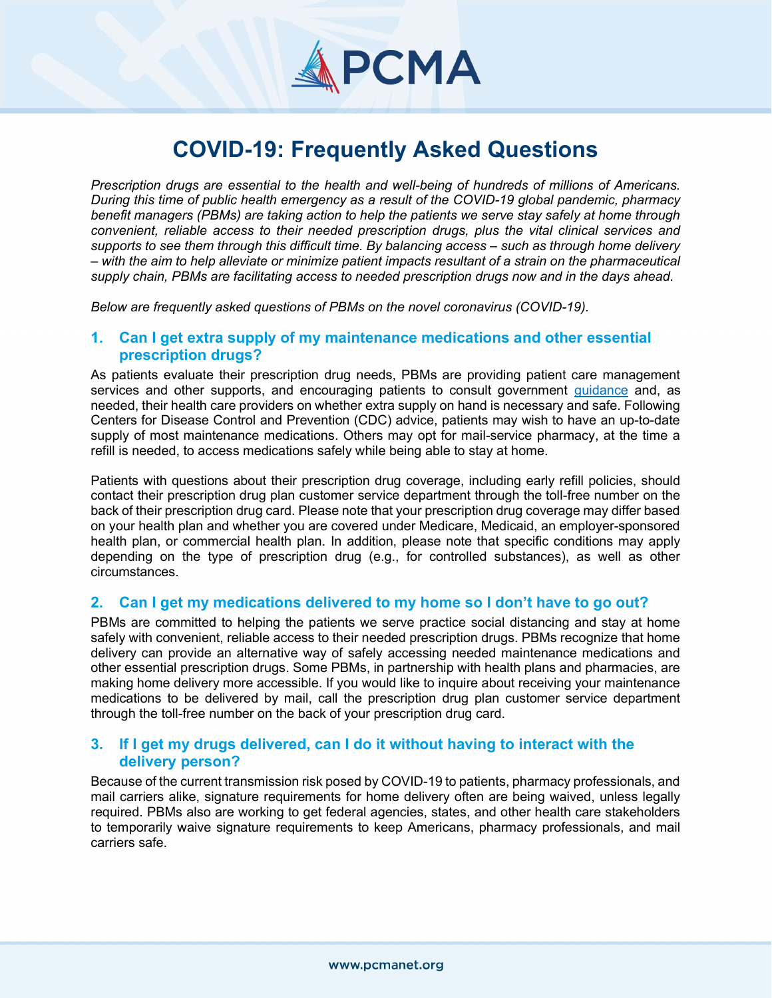# PCMA

# COVID-19: Frequently Asked Questions

Prescription drugs are essential to the health and well-being of hundreds of millions of Americans. During this time of public health emergency as a result of the COVID-19 global pandemic, pharmacy benefit managers (PBMs) are taking action to help the patients we serve stay safely at home through convenient, reliable access to their needed prescription drugs, plus the vital clinical services and supports to see them through this difficult time. By balancing access – such as through home delivery – with the aim to help alleviate or minimize patient impacts resultant of a strain on the pharmaceutical supply chain, PBMs are facilitating access to needed prescription drugs now and in the days ahead.

Below are frequently asked questions of PBMs on the novel coronavirus (COVID-19).

# 1. Can I get extra supply of my maintenance medications and other essential prescription drugs?

As patients evaluate their prescription drug needs, PBMs are providing patient care management services and other supports, and encouraging patients to consult government guidance and, as needed, their health care providers on whether extra supply on hand is necessary and safe. Following Centers for Disease Control and Prevention (CDC) advice, patients may wish to have an up-to-date supply of most maintenance medications. Others may opt for mail-service pharmacy, at the time a refill is needed, to access medications safely while being able to stay at home.

Patients with questions about their prescription drug coverage, including early refill policies, should contact their prescription drug plan customer service department through the toll-free number on the back of their prescription drug card. Please note that your prescription drug coverage may differ based on your health plan and whether you are covered under Medicare, Medicaid, an employer-sponsored health plan, or commercial health plan. In addition, please note that specific conditions may apply depending on the type of prescription drug (e.g., for controlled substances), as well as other circumstances.

# 2. Can I get my medications delivered to my home so I don't have to go out?

PBMs are committed to helping the patients we serve practice social distancing and stay at home safely with convenient, reliable access to their needed prescription drugs. PBMs recognize that home delivery can provide an alternative way of safely accessing needed maintenance medications and other essential prescription drugs. Some PBMs, in partnership with health plans and pharmacies, are making home delivery more accessible. If you would like to inquire about receiving your maintenance medications to be delivered by mail, call the prescription drug plan customer service department through the toll-free number on the back of your prescription drug card.

# 3. If I get my drugs delivered, can I do it without having to interact with the delivery person?

Because of the current transmission risk posed by COVID-19 to patients, pharmacy professionals, and mail carriers alike, signature requirements for home delivery often are being waived, unless legally required. PBMs also are working to get federal agencies, states, and other health care stakeholders to temporarily waive signature requirements to keep Americans, pharmacy professionals, and mail carriers safe.

Ξ